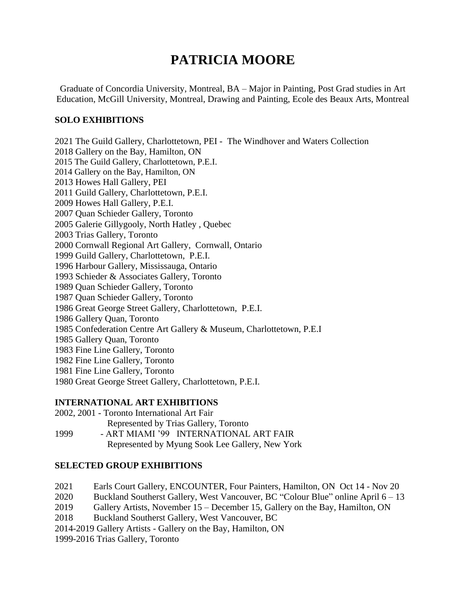# **PATRICIA MOORE**

Graduate of Concordia University, Montreal, BA – Major in Painting, Post Grad studies in Art Education, McGill University, Montreal, Drawing and Painting, Ecole des Beaux Arts, Montreal

# **SOLO EXHIBITIONS**

2021 The Guild Gallery, Charlottetown, PEI - The Windhover and Waters Collection 2018 Gallery on the Bay, Hamilton, ON 2015 The Guild Gallery, Charlottetown, P.E.I. 2014 Gallery on the Bay, Hamilton, ON 2013 Howes Hall Gallery, PEI 2011 Guild Gallery, Charlottetown, P.E.I. 2009 Howes Hall Gallery, P.E.I. 2007 Quan Schieder Gallery, Toronto 2005 Galerie Gillygooly, North Hatley , Quebec 2003 Trias Gallery, Toronto 2000 Cornwall Regional Art Gallery, Cornwall, Ontario 1999 Guild Gallery, Charlottetown, P.E.I. 1996 Harbour Gallery, Mississauga, Ontario 1993 Schieder & Associates Gallery, Toronto 1989 Quan Schieder Gallery, Toronto 1987 Quan Schieder Gallery, Toronto 1986 Great George Street Gallery, Charlottetown, P.E.I. 1986 Gallery Quan, Toronto 1985 Confederation Centre Art Gallery & Museum, Charlottetown, P.E.I 1985 Gallery Quan, Toronto 1983 Fine Line Gallery, Toronto 1982 Fine Line Gallery, Toronto 1981 Fine Line Gallery, Toronto 1980 Great George Street Gallery, Charlottetown, P.E.I.

# **INTERNATIONAL ART EXHIBITIONS**

|      | 2002, 2001 - Toronto International Art Fair     |
|------|-------------------------------------------------|
|      | Represented by Trias Gallery, Toronto           |
| 1999 | - ART MIAMI '99 INTERNATIONAL ART FAIR          |
|      | Represented by Myung Sook Lee Gallery, New York |

# **SELECTED GROUP EXHIBITIONS**

2021 Earls Court Gallery, ENCOUNTER, Four Painters, Hamilton, ON Oct 14 - Nov 20

- 2020 Buckland Southerst Gallery, West Vancouver, BC "Colour Blue" online April 6 13
- 2019 Gallery Artists, November 15 December 15, Gallery on the Bay, Hamilton, ON

2018 Buckland Southerst Gallery, West Vancouver, BC

2014-2019 Gallery Artists - Gallery on the Bay, Hamilton, ON

1999-2016 Trias Gallery, Toronto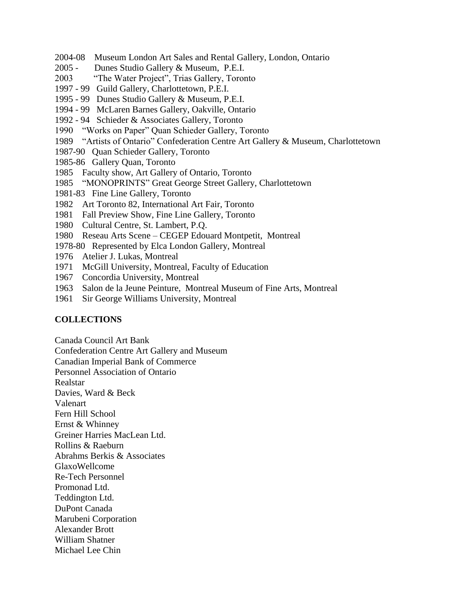- 2004-08 Museum London Art Sales and Rental Gallery, London, Ontario
- 2005 Dunes Studio Gallery & Museum, P.E.I.
- 2003 "The Water Project", Trias Gallery, Toronto
- 1997 99 Guild Gallery, Charlottetown, P.E.I.
- 1995 99 Dunes Studio Gallery & Museum, P.E.I.
- 1994 99 McLaren Barnes Gallery, Oakville, Ontario
- 1992 94 Schieder & Associates Gallery, Toronto
- 1990 "Works on Paper" Quan Schieder Gallery, Toronto
- 1989 "Artists of Ontario" Confederation Centre Art Gallery & Museum, Charlottetown
- 1987-90 Quan Schieder Gallery, Toronto
- 1985-86 Gallery Quan, Toronto
- 1985 Faculty show, Art Gallery of Ontario, Toronto
- 1985 "MONOPRINTS" Great George Street Gallery, Charlottetown
- 1981-83 Fine Line Gallery, Toronto
- 1982 Art Toronto 82, International Art Fair, Toronto
- 1981 Fall Preview Show, Fine Line Gallery, Toronto
- 1980 Cultural Centre, St. Lambert, P.Q.
- 1980 Reseau Arts Scene CEGEP Edouard Montpetit, Montreal
- 1978-80 Represented by Elca London Gallery, Montreal
- 1976 Atelier J. Lukas, Montreal
- 1971 McGill University, Montreal, Faculty of Education
- 1967 Concordia University, Montreal
- 1963 Salon de la Jeune Peinture, Montreal Museum of Fine Arts, Montreal
- 1961 Sir George Williams University, Montreal

#### **COLLECTIONS**

Canada Council Art Bank

Confederation Centre Art Gallery and Museum

Canadian Imperial Bank of Commerce

Personnel Association of Ontario

Realstar

Davies, Ward & Beck

Valenart

Fern Hill School

Ernst & Whinney

Greiner Harries MacLean Ltd.

Rollins & Raeburn

Abrahms Berkis & Associates

GlaxoWellcome

Re-Tech Personnel Promonad Ltd.

Teddington Ltd.

DuPont Canada

Marubeni Corporation Alexander Brott

William Shatner

Michael Lee Chin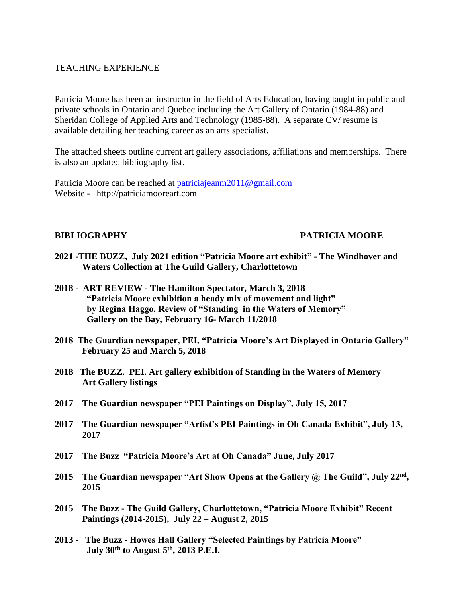### TEACHING EXPERIENCE

Patricia Moore has been an instructor in the field of Arts Education, having taught in public and private schools in Ontario and Quebec including the Art Gallery of Ontario (1984-88) and Sheridan College of Applied Arts and Technology (1985-88). A separate CV/ resume is available detailing her teaching career as an arts specialist.

The attached sheets outline current art gallery associations, affiliations and memberships. There is also an updated bibliography list.

Patricia Moore can be reached at [patriciajeanm2011@gmail.com](mailto:patriciajeanm2011@gmail.com) Website - http://patriciamooreart.com

### **BIBLIOGRAPHY PATRICIA MOORE**

- **2021 -THE BUZZ, July 2021 edition "Patricia Moore art exhibit" - The Windhover and Waters Collection at The Guild Gallery, Charlottetown**
- **2018 ART REVIEW - The Hamilton Spectator, March 3, 2018 "Patricia Moore exhibition a heady mix of movement and light" by Regina Haggo. Review of "Standing in the Waters of Memory" Gallery on the Bay, February 16- March 11/2018**
- **2018 The Guardian newspaper, PEI, "Patricia Moore's Art Displayed in Ontario Gallery" February 25 and March 5, 2018**
- **2018 The BUZZ. PEI. Art gallery exhibition of Standing in the Waters of Memory Art Gallery listings**
- **2017 The Guardian newspaper "PEI Paintings on Display", July 15, 2017**
- **2017 The Guardian newspaper "Artist's PEI Paintings in Oh Canada Exhibit", July 13, 2017**
- **2017 The Buzz "Patricia Moore's Art at Oh Canada" June, July 2017**
- **2015 The Guardian newspaper "Art Show Opens at the Gallery @ The Guild", July 22nd , 2015**
- **2015 The Buzz - The Guild Gallery, Charlottetown, "Patricia Moore Exhibit" Recent Paintings (2014-2015), July 22 – August 2, 2015**
- **2013 The Buzz - Howes Hall Gallery "Selected Paintings by Patricia Moore" July 30th to August 5th, 2013 P.E.I.**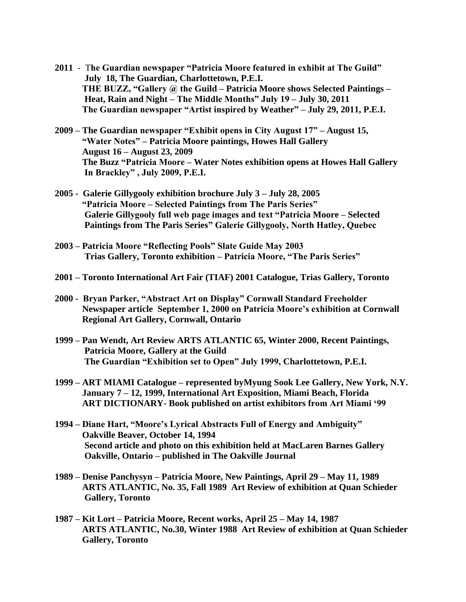- **2011** T**he Guardian newspaper "Patricia Moore featured in exhibit at The Guild" July 18, The Guardian, Charlottetown, P.E.I. THE BUZZ, "Gallery @ the Guild – Patricia Moore shows Selected Paintings – Heat, Rain and Night – The Middle Months" July 19 – July 30, 2011 The Guardian newspaper "Artist inspired by Weather" – July 29, 2011, P.E.I.**
- **2009 – The Guardian newspaper "Exhibit opens in City August 17" – August 15, "Water Notes" – Patricia Moore paintings, Howes Hall Gallery August 16 – August 23, 2009 The Buzz "Patricia Moore – Water Notes exhibition opens at Howes Hall Gallery In Brackley" , July 2009, P.E.I.**
- **2005 Galerie Gillygooly exhibition brochure July 3 – July 28, 2005 "Patricia Moore – Selected Paintings from The Paris Series" Galerie Gillygooly full web page images and text "Patricia Moore – Selected Paintings from The Paris Series" Galerie Gillygooly, North Hatley, Quebec**
- **2003 – Patricia Moore "Reflecting Pools" Slate Guide May 2003 Trias Gallery, Toronto exhibition – Patricia Moore, "The Paris Series"**
- **2001 – Toronto International Art Fair (TIAF) 2001 Catalogue, Trias Gallery, Toronto**
- **2000 Bryan Parker, "Abstract Art on Display" Cornwall Standard Freeholder Newspaper article September 1, 2000 on Patricia Moore's exhibition at Cornwall Regional Art Gallery, Cornwall, Ontario**
- **1999 – Pan Wendt, Art Review ARTS ATLANTIC 65, Winter 2000, Recent Paintings, Patricia Moore, Gallery at the Guild The Guardian "Exhibition set to Open" July 1999, Charlottetown, P.E.I.**
- **1999 – ART MIAMI Catalogue – represented byMyung Sook Lee Gallery, New York, N.Y. January 7 – 12, 1999, International Art Exposition, Miami Beach, Florida ART DICTIONARY- Book published on artist exhibitors from Art Miami '99**
- **1994 – Diane Hart, "Moore's Lyrical Abstracts Full of Energy and Ambiguity" Oakville Beaver, October 14, 1994 Second article and photo on this exhibition held at MacLaren Barnes Gallery Oakville, Ontario – published in The Oakville Journal**
- **1989 – Denise Panchysyn – Patricia Moore, New Paintings, April 29 – May 11, 1989 ARTS ATLANTIC, No. 35, Fall 1989 Art Review of exhibition at Quan Schieder Gallery, Toronto**
- **1987 – Kit Lort – Patricia Moore, Recent works, April 25 – May 14, 1987 ARTS ATLANTIC, No.30, Winter 1988 Art Review of exhibition at Quan Schieder Gallery, Toronto**